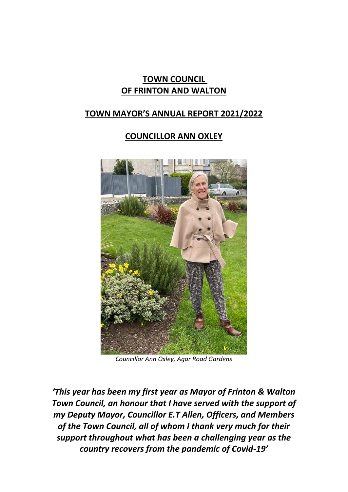# **TOWN COUNCIL OF FRINTON AND WALTON**

# **TOWN MAYOR'S ANNUAL REPORT 2021/2022**

# **COUNCILLOR ANN OXLEY**



*Councillor Ann Oxley, Agar Road Gardens*

*'This year has been my first year as Mayor of Frinton & Walton Town Council, an honour that I have served with the support of my Deputy Mayor, Councillor E.T Allen, Officers, and Members of the Town Council, all of whom I thank very much for their support throughout what has been a challenging year as the country recovers from the pandemic of Covid-19'*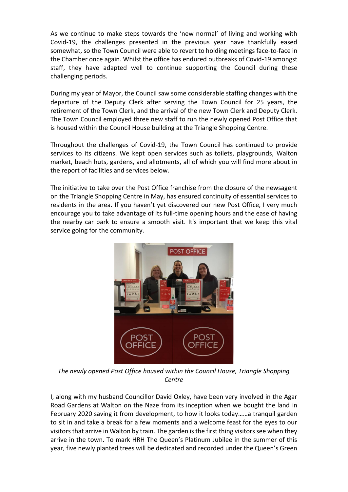As we continue to make steps towards the 'new normal' of living and working with Covid-19, the challenges presented in the previous year have thankfully eased somewhat, so the Town Council were able to revert to holding meetings face-to-face in the Chamber once again. Whilst the office has endured outbreaks of Covid-19 amongst staff, they have adapted well to continue supporting the Council during these challenging periods.

During my year of Mayor, the Council saw some considerable staffing changes with the departure of the Deputy Clerk after serving the Town Council for 25 years, the retirement of the Town Clerk, and the arrival of the new Town Clerk and Deputy Clerk. The Town Council employed three new staff to run the newly opened Post Office that is housed within the Council House building at the Triangle Shopping Centre.

Throughout the challenges of Covid-19, the Town Council has continued to provide services to its citizens. We kept open services such as toilets, playgrounds, Walton market, beach huts, gardens, and allotments, all of which you will find more about in the report of facilities and services below.

The initiative to take over the Post Office franchise from the closure of the newsagent on the Triangle Shopping Centre in May, has ensured continuity of essential services to residents in the area. If you haven't yet discovered our new Post Office, I very much encourage you to take advantage of its full-time opening hours and the ease of having the nearby car park to ensure a smooth visit. It's important that we keep this vital service going for the community.



*The newly opened Post Office housed within the Council House, Triangle Shopping Centre*

I, along with my husband Councillor David Oxley, have been very involved in the Agar Road Gardens at Walton on the Naze from its inception when we bought the land in February 2020 saving it from development, to how it looks today……a tranquil garden to sit in and take a break for a few moments and a welcome feast for the eyes to our visitors that arrive in Walton by train. The garden is the first thing visitors see when they arrive in the town. To mark HRH The Queen's Platinum Jubilee in the summer of this year, five newly planted trees will be dedicated and recorded under the Queen's Green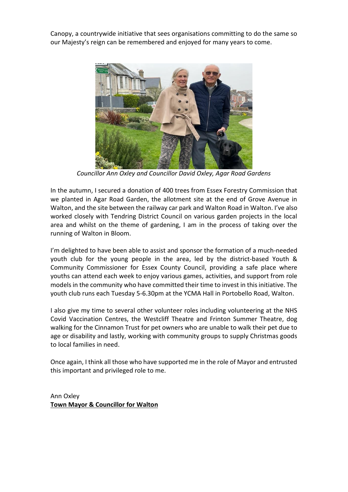Canopy, a countrywide initiative that sees organisations committing to do the same so our Majesty's reign can be remembered and enjoyed for many years to come.



*Councillor Ann Oxley and Councillor David Oxley, Agar Road Gardens*

In the autumn, I secured a donation of 400 trees from Essex Forestry Commission that we planted in Agar Road Garden, the allotment site at the end of Grove Avenue in Walton, and the site between the railway car park and Walton Road in Walton. I've also worked closely with Tendring District Council on various garden projects in the local area and whilst on the theme of gardening, I am in the process of taking over the running of Walton in Bloom.

I'm delighted to have been able to assist and sponsor the formation of a much-needed youth club for the young people in the area, led by the district-based Youth & Community Commissioner for Essex County Council, providing a safe place where youths can attend each week to enjoy various games, activities, and support from role models in the community who have committed their time to invest in this initiative. The youth club runs each Tuesday 5-6.30pm at the YCMA Hall in Portobello Road, Walton.

I also give my time to several other volunteer roles including volunteering at the NHS Covid Vaccination Centres, the Westcliff Theatre and Frinton Summer Theatre, dog walking for the Cinnamon Trust for pet owners who are unable to walk their pet due to age or disability and lastly, working with community groups to supply Christmas goods to local families in need.

Once again, I think all those who have supported me in the role of Mayor and entrusted this important and privileged role to me.

Ann Oxley **Town Mayor & Councillor for Walton**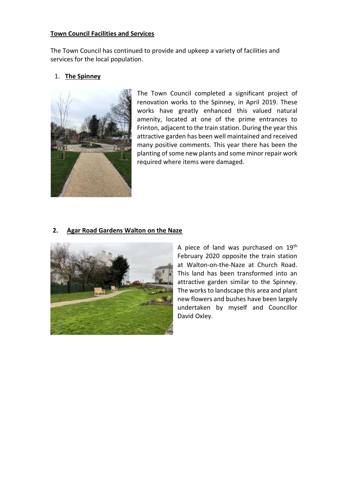### **Town Council Facilities and Services**

The Town Council has continued to provide and upkeep a variety of facilities and services for the local population.

## 1. **The Spinney**



The Town Council completed a significant project of renovation works to the Spinney, in April 2019. These works have greatly enhanced this valued natural amenity, located at one of the prime entrances to Frinton, adjacent to the train station. During the year this attractive garden has been well maintained and received many positive comments. This year there has been the planting of some new plants and some minor repair work required where items were damaged.

## **2. Agar Road Gardens Walton on the Naze**



A piece of land was purchased on 19th February 2020 opposite the train station at Walton-on-the-Naze at Church Road. This land has been transformed into an attractive garden similar to the Spinney. The works to landscape this area and plant new flowers and bushes have been largely undertaken by myself and Councillor David Oxley.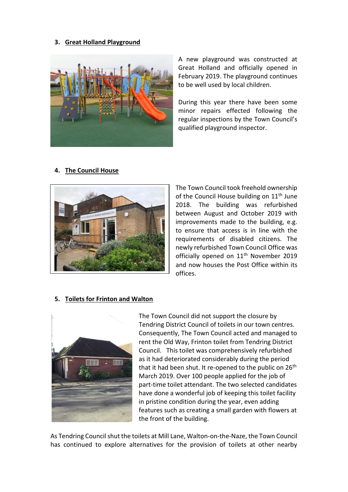### **3. Great Holland Playground**



A new playground was constructed at Great Holland and officially opened in February 2019. The playground continues to be well used by local children.

During this year there have been some minor repairs effected following the regular inspections by the Town Council's qualified playground inspector.





The Town Council took freehold ownership of the Council House building on  $11<sup>th</sup>$  June 2018. The building was refurbished between August and October 2019 with improvements made to the building, e.g. to ensure that access is in line with the requirements of disabled citizens. The newly refurbished Town Council Office was officially opened on 11<sup>th</sup> November 2019 and now houses the Post Office within its offices.

#### **5. Toilets for Frinton and Walton**



The Town Council did not support the closure by Tendring District Council of toilets in our town centres. Consequently, The Town Council acted and managed to rent the Old Way, Frinton toilet from Tendring District Council. This toilet was comprehensively refurbished as it had deteriorated considerably during the period that it had been shut. It re-opened to the public on  $26<sup>th</sup>$ March 2019. Over 100 people applied for the job of part-time toilet attendant. The two selected candidates have done a wonderful job of keeping this toilet facility in pristine condition during the year, even adding features such as creating a small garden with flowers at the front of the building.

As Tendring Council shut the toilets at Mill Lane, Walton-on-the-Naze, the Town Council has continued to explore alternatives for the provision of toilets at other nearby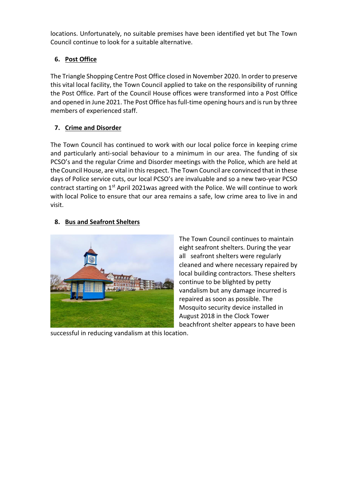locations. Unfortunately, no suitable premises have been identified yet but The Town Council continue to look for a suitable alternative.

# **6. Post Office**

The Triangle Shopping Centre Post Office closed in November 2020. In order to preserve this vital local facility, the Town Council applied to take on the responsibility of running the Post Office. Part of the Council House offices were transformed into a Post Office and opened in June 2021. The Post Office has full-time opening hours and is run by three members of experienced staff.

# **7. Crime and Disorder**

The Town Council has continued to work with our local police force in keeping crime and particularly anti-social behaviour to a minimum in our area. The funding of six PCSO's and the regular Crime and Disorder meetings with the Police, which are held at the Council House, are vital in this respect. The Town Council are convinced that in these days of Police service cuts, our local PCSO's are invaluable and so a new two-year PCSO contract starting on  $1<sup>st</sup>$  April 2021was agreed with the Police. We will continue to work with local Police to ensure that our area remains a safe, low crime area to live in and visit.

# **8. Bus and Seafront Shelters**



The Town Council continues to maintain eight seafront shelters. During the year all seafront shelters were regularly cleaned and where necessary repaired by local building contractors. These shelters continue to be blighted by petty vandalism but any damage incurred is repaired as soon as possible. The Mosquito security device installed in August 2018 in the Clock Tower beachfront shelter appears to have been

successful in reducing vandalism at this location.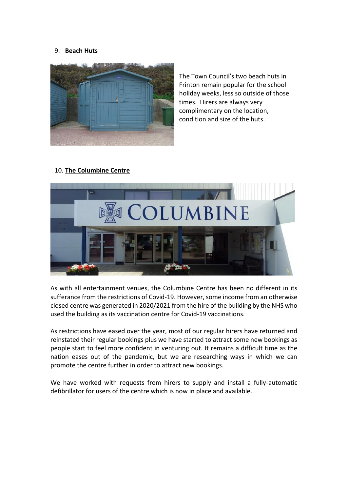### 9. **Beach Huts**



The Town Council's two beach huts in Frinton remain popular for the school holiday weeks, less so outside of those times. Hirers are always very complimentary on the location, condition and size of the huts.

#### 10. **The Columbine Centre**



As with all entertainment venues, the Columbine Centre has been no different in its sufferance from the restrictions of Covid-19. However, some income from an otherwise closed centre was generated in 2020/2021 from the hire of the building by the NHS who used the building as its vaccination centre for Covid-19 vaccinations.

As restrictions have eased over the year, most of our regular hirers have returned and reinstated their regular bookings plus we have started to attract some new bookings as people start to feel more confident in venturing out. It remains a difficult time as the nation eases out of the pandemic, but we are researching ways in which we can promote the centre further in order to attract new bookings.

We have worked with requests from hirers to supply and install a fully-automatic defibrillator for users of the centre which is now in place and available.